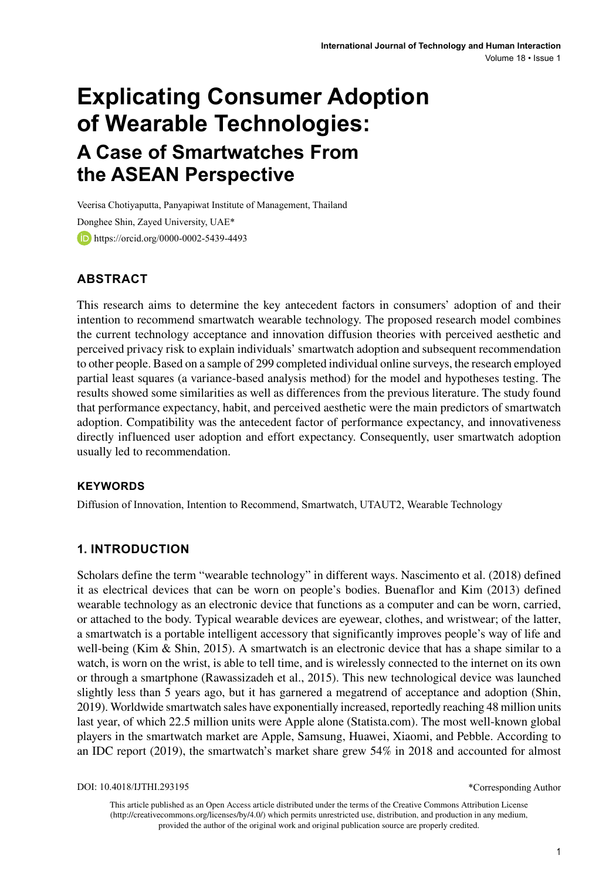# **Explicating Consumer Adoption of Wearable Technologies: A Case of Smartwatches From the ASEAN Perspective**

Veerisa Chotiyaputta, Panyapiwat Institute of Management, Thailand Donghee Shin, Zayed University, UAE\* **b** https://orcid.org/0000-0002-5439-4493

## **ABSTRACT**

This research aims to determine the key antecedent factors in consumers' adoption of and their intention to recommend smartwatch wearable technology. The proposed research model combines the current technology acceptance and innovation diffusion theories with perceived aesthetic and perceived privacy risk to explain individuals' smartwatch adoption and subsequent recommendation to other people. Based on a sample of 299 completed individual online surveys, the research employed partial least squares (a variance-based analysis method) for the model and hypotheses testing. The results showed some similarities as well as differences from the previous literature. The study found that performance expectancy, habit, and perceived aesthetic were the main predictors of smartwatch adoption. Compatibility was the antecedent factor of performance expectancy, and innovativeness directly influenced user adoption and effort expectancy. Consequently, user smartwatch adoption usually led to recommendation.

#### **Keywords**

Diffusion of Innovation, Intention to Recommend, Smartwatch, UTAUT2, Wearable Technology

#### **1. INTRODUCTION**

Scholars define the term "wearable technology" in different ways. Nascimento et al. (2018) defined it as electrical devices that can be worn on people's bodies. Buenaflor and Kim (2013) defined wearable technology as an electronic device that functions as a computer and can be worn, carried, or attached to the body. Typical wearable devices are eyewear, clothes, and wristwear; of the latter, a smartwatch is a portable intelligent accessory that significantly improves people's way of life and well-being (Kim & Shin, 2015). A smartwatch is an electronic device that has a shape similar to a watch, is worn on the wrist, is able to tell time, and is wirelessly connected to the internet on its own or through a smartphone (Rawassizadeh et al., 2015). This new technological device was launched slightly less than 5 years ago, but it has garnered a megatrend of acceptance and adoption (Shin, 2019). Worldwide smartwatch sales have exponentially increased, reportedly reaching 48 million units last year, of which 22.5 million units were Apple alone (Statista.com). The most well-known global players in the smartwatch market are Apple, Samsung, Huawei, Xiaomi, and Pebble. According to an IDC report (2019), the smartwatch's market share grew 54% in 2018 and accounted for almost

DOI: 10.4018/IJTHI.293195

This article published as an Open Access article distributed under the terms of the Creative Commons Attribution License (http://creativecommons.org/licenses/by/4.0/) which permits unrestricted use, distribution, and production in any medium, provided the author of the original work and original publication source are properly credited.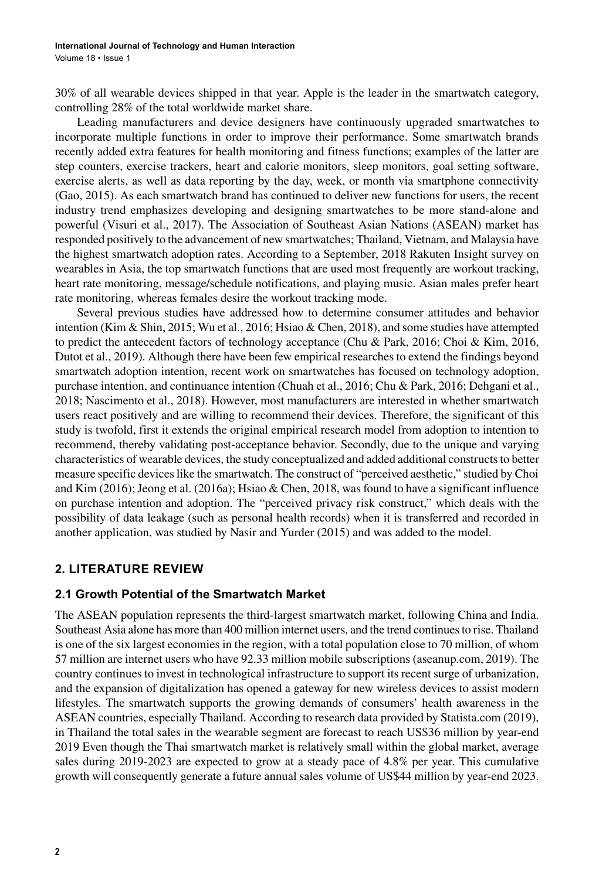30% of all wearable devices shipped in that year. Apple is the leader in the smartwatch category, controlling 28% of the total worldwide market share.

Leading manufacturers and device designers have continuously upgraded smartwatches to incorporate multiple functions in order to improve their performance. Some smartwatch brands recently added extra features for health monitoring and fitness functions; examples of the latter are step counters, exercise trackers, heart and calorie monitors, sleep monitors, goal setting software, exercise alerts, as well as data reporting by the day, week, or month via smartphone connectivity (Gao, 2015). As each smartwatch brand has continued to deliver new functions for users, the recent industry trend emphasizes developing and designing smartwatches to be more stand-alone and powerful (Visuri et al., 2017). The Association of Southeast Asian Nations (ASEAN) market has responded positively to the advancement of new smartwatches; Thailand, Vietnam, and Malaysia have the highest smartwatch adoption rates. According to a September, 2018 Rakuten Insight survey on wearables in Asia, the top smartwatch functions that are used most frequently are workout tracking, heart rate monitoring, message/schedule notifications, and playing music. Asian males prefer heart rate monitoring, whereas females desire the workout tracking mode.

Several previous studies have addressed how to determine consumer attitudes and behavior intention (Kim & Shin, 2015; Wu et al., 2016; Hsiao & Chen, 2018), and some studies have attempted to predict the antecedent factors of technology acceptance (Chu & Park, 2016; Choi & Kim, 2016, Dutot et al., 2019). Although there have been few empirical researches to extend the findings beyond smartwatch adoption intention, recent work on smartwatches has focused on technology adoption, purchase intention, and continuance intention (Chuah et al., 2016; Chu & Park, 2016; Dehgani et al., 2018; Nascimento et al., 2018). However, most manufacturers are interested in whether smartwatch users react positively and are willing to recommend their devices. Therefore, the significant of this study is twofold, first it extends the original empirical research model from adoption to intention to recommend, thereby validating post-acceptance behavior. Secondly, due to the unique and varying characteristics of wearable devices, the study conceptualized and added additional constructs to better measure specific devices like the smartwatch. The construct of "perceived aesthetic," studied by Choi and Kim (2016); Jeong et al. (2016a); Hsiao & Chen, 2018, was found to have a significant influence on purchase intention and adoption. The "perceived privacy risk construct," which deals with the possibility of data leakage (such as personal health records) when it is transferred and recorded in another application, was studied by Nasir and Yurder (2015) and was added to the model.

## **2. LITERATURE REVIEW**

#### **2.1 Growth Potential of the Smartwatch Market**

The ASEAN population represents the third-largest smartwatch market, following China and India. Southeast Asia alone has more than 400 million internet users, and the trend continues to rise. Thailand is one of the six largest economies in the region, with a total population close to 70 million, of whom 57 million are internet users who have 92.33 million mobile subscriptions (aseanup.com, 2019). The country continues to invest in technological infrastructure to support its recent surge of urbanization, and the expansion of digitalization has opened a gateway for new wireless devices to assist modern lifestyles. The smartwatch supports the growing demands of consumers' health awareness in the ASEAN countries, especially Thailand. According to research data provided by Statista.com (2019), in Thailand the total sales in the wearable segment are forecast to reach US\$36 million by year-end 2019 Even though the Thai smartwatch market is relatively small within the global market, average sales during 2019-2023 are expected to grow at a steady pace of 4.8% per year. This cumulative growth will consequently generate a future annual sales volume of US\$44 million by year-end 2023.